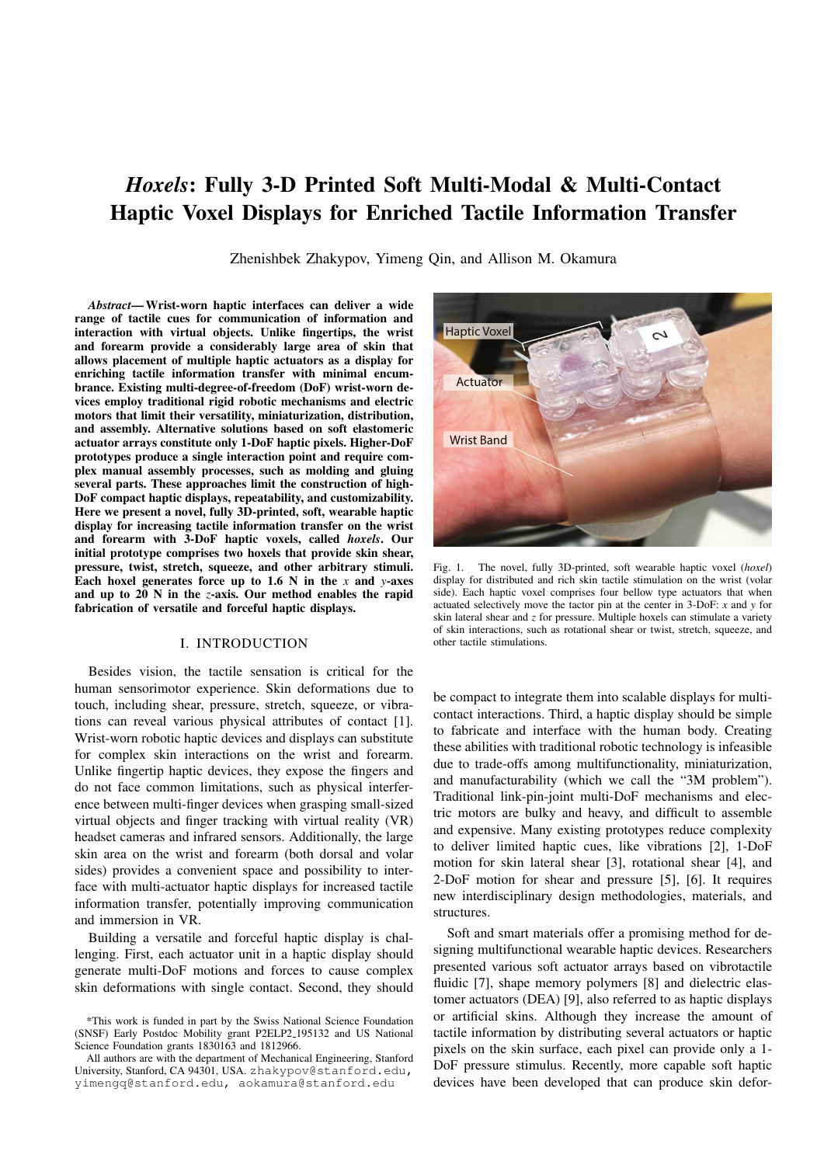# *Hoxels*: Fully 3-D Printed Soft Multi-Modal & Multi-Contact Haptic Voxel Displays for Enriched Tactile Information Transfer

Zhenishbek Zhakypov, Yimeng Qin, and Allison M. Okamura

*Abstract*— Wrist-worn haptic interfaces can deliver a wide range of tactile cues for communication of information and interaction with virtual objects. Unlike fingertips, the wrist and forearm provide a considerably large area of skin that allows placement of multiple haptic actuators as a display for enriching tactile information transfer with minimal encumbrance. Existing multi-degree-of-freedom (DoF) wrist-worn devices employ traditional rigid robotic mechanisms and electric motors that limit their versatility, miniaturization, distribution, and assembly. Alternative solutions based on soft elastomeric actuator arrays constitute only 1-DoF haptic pixels. Higher-DoF prototypes produce a single interaction point and require complex manual assembly processes, such as molding and gluing several parts. These approaches limit the construction of high-DoF compact haptic displays, repeatability, and customizability. Here we present a novel, fully 3D-printed, soft, wearable haptic display for increasing tactile information transfer on the wrist and forearm with 3-DoF haptic voxels, called *hoxels*. Our initial prototype comprises two hoxels that provide skin shear, pressure, twist, stretch, squeeze, and other arbitrary stimuli. Each hoxel generates force up to 1.6 N in the *x* and *y*-axes and up to 20 N in the *z*-axis. Our method enables the rapid fabrication of versatile and forceful haptic displays.

#### I. INTRODUCTION

Besides vision, the tactile sensation is critical for the human sensorimotor experience. Skin deformations due to touch, including shear, pressure, stretch, squeeze, or vibrations can reveal various physical attributes of contact [1]. Wrist-worn robotic haptic devices and displays can substitute for complex skin interactions on the wrist and forearm. Unlike fingertip haptic devices, they expose the fingers and do not face common limitations, such as physical interference between multi-finger devices when grasping small-sized virtual objects and finger tracking with virtual reality (VR) headset cameras and infrared sensors. Additionally, the large skin area on the wrist and forearm (both dorsal and volar sides) provides a convenient space and possibility to interface with multi-actuator haptic displays for increased tactile information transfer, potentially improving communication and immersion in VR.

Building a versatile and forceful haptic display is challenging. First, each actuator unit in a haptic display should generate multi-DoF motions and forces to cause complex skin deformations with single contact. Second, they should



Fig. 1. The novel, fully 3D-printed, soft wearable haptic voxel (*hoxel*) display for distributed and rich skin tactile stimulation on the wrist (volar side). Each haptic voxel comprises four bellow type actuators that when actuated selectively move the tactor pin at the center in 3-DoF: *x* and *y* for skin lateral shear and *z* for pressure. Multiple hoxels can stimulate a variety of skin interactions, such as rotational shear or twist, stretch, squeeze, and other tactile stimulations.

be compact to integrate them into scalable displays for multicontact interactions. Third, a haptic display should be simple to fabricate and interface with the human body. Creating these abilities with traditional robotic technology is infeasible due to trade-offs among multifunctionality, miniaturization, and manufacturability (which we call the "3M problem"). Traditional link-pin-joint multi-DoF mechanisms and electric motors are bulky and heavy, and difficult to assemble and expensive. Many existing prototypes reduce complexity to deliver limited haptic cues, like vibrations [2], 1-DoF motion for skin lateral shear [3], rotational shear [4], and 2-DoF motion for shear and pressure [5], [6]. It requires new interdisciplinary design methodologies, materials, and structures.

Soft and smart materials offer a promising method for designing multifunctional wearable haptic devices. Researchers presented various soft actuator arrays based on vibrotactile fluidic [7], shape memory polymers [8] and dielectric elastomer actuators (DEA) [9], also referred to as haptic displays or artificial skins. Although they increase the amount of tactile information by distributing several actuators or haptic pixels on the skin surface, each pixel can provide only a 1- DoF pressure stimulus. Recently, more capable soft haptic devices have been developed that can produce skin defor-

<sup>\*</sup>This work is funded in part by the Swiss National Science Foundation (SNSF) Early Postdoc Mobility grant P2ELP2 195132 and US National Science Foundation grants 1830163 and 1812966.

All authors are with the department of Mechanical Engineering, Stanford University, Stanford, CA 94301, USA. zhakypov@stanford.edu, yimengq@stanford.edu, aokamura@stanford.edu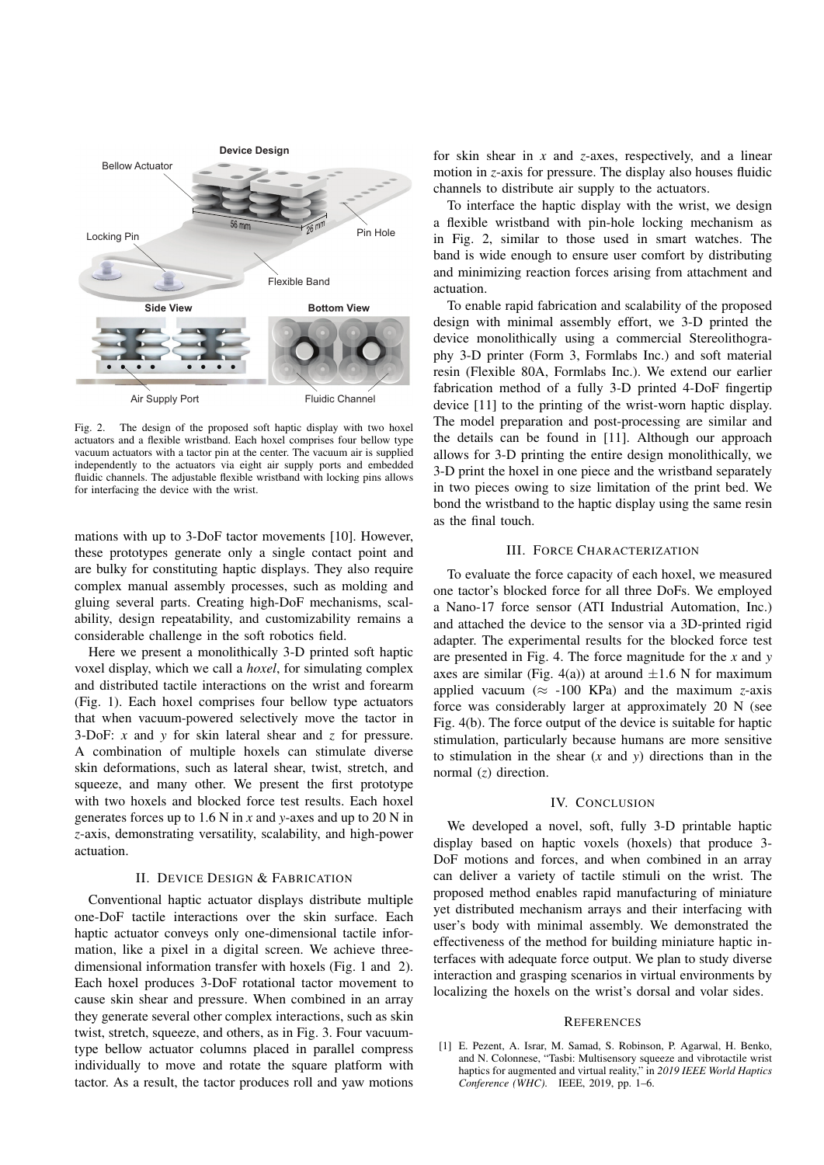

Fig. 2. The design of the proposed soft haptic display with two hoxel actuators and a flexible wristband. Each hoxel comprises four bellow type vacuum actuators with a tactor pin at the center. The vacuum air is supplied independently to the actuators via eight air supply ports and embedded fluidic channels. The adjustable flexible wristband with locking pins allows for interfacing the device with the wrist.

mations with up to 3-DoF tactor movements [10]. However, these prototypes generate only a single contact point and are bulky for constituting haptic displays. They also require complex manual assembly processes, such as molding and gluing several parts. Creating high-DoF mechanisms, scalability, design repeatability, and customizability remains a considerable challenge in the soft robotics field.

Here we present a monolithically 3-D printed soft haptic voxel display, which we call a *hoxel*, for simulating complex and distributed tactile interactions on the wrist and forearm (Fig. 1). Each hoxel comprises four bellow type actuators that when vacuum-powered selectively move the tactor in 3-DoF: *x* and *y* for skin lateral shear and *z* for pressure. A combination of multiple hoxels can stimulate diverse skin deformations, such as lateral shear, twist, stretch, and squeeze, and many other. We present the first prototype with two hoxels and blocked force test results. Each hoxel generates forces up to 1.6 N in *x* and *y*-axes and up to 20 N in *z*-axis, demonstrating versatility, scalability, and high-power actuation.

## II. DEVICE DESIGN & FABRICATION

Conventional haptic actuator displays distribute multiple one-DoF tactile interactions over the skin surface. Each haptic actuator conveys only one-dimensional tactile information, like a pixel in a digital screen. We achieve threedimensional information transfer with hoxels (Fig. 1 and 2). Each hoxel produces 3-DoF rotational tactor movement to cause skin shear and pressure. When combined in an array they generate several other complex interactions, such as skin twist, stretch, squeeze, and others, as in Fig. 3. Four vacuumtype bellow actuator columns placed in parallel compress individually to move and rotate the square platform with tactor. As a result, the tactor produces roll and yaw motions

for skin shear in *x* and *z*-axes, respectively, and a linear motion in *z*-axis for pressure. The display also houses fluidic channels to distribute air supply to the actuators.

To interface the haptic display with the wrist, we design a flexible wristband with pin-hole locking mechanism as in Fig. 2, similar to those used in smart watches. The band is wide enough to ensure user comfort by distributing and minimizing reaction forces arising from attachment and actuation.

To enable rapid fabrication and scalability of the proposed design with minimal assembly effort, we 3-D printed the device monolithically using a commercial Stereolithography 3-D printer (Form 3, Formlabs Inc.) and soft material resin (Flexible 80A, Formlabs Inc.). We extend our earlier fabrication method of a fully 3-D printed 4-DoF fingertip device [11] to the printing of the wrist-worn haptic display. The model preparation and post-processing are similar and the details can be found in [11]. Although our approach allows for 3-D printing the entire design monolithically, we 3-D print the hoxel in one piece and the wristband separately in two pieces owing to size limitation of the print bed. We bond the wristband to the haptic display using the same resin as the final touch.

# III. FORCE CHARACTERIZATION

To evaluate the force capacity of each hoxel, we measured one tactor's blocked force for all three DoFs. We employed a Nano-17 force sensor (ATI Industrial Automation, Inc.) and attached the device to the sensor via a 3D-printed rigid adapter. The experimental results for the blocked force test are presented in Fig. 4. The force magnitude for the *x* and *y* axes are similar (Fig. 4(a)) at around  $\pm 1.6$  N for maximum applied vacuum ( $\approx$  -100 KPa) and the maximum *z*-axis force was considerably larger at approximately 20 N (see Fig. 4(b). The force output of the device is suitable for haptic stimulation, particularly because humans are more sensitive to stimulation in the shear (*x* and *y*) directions than in the normal (*z*) direction.

### IV. CONCLUSION

We developed a novel, soft, fully 3-D printable haptic display based on haptic voxels (hoxels) that produce 3- DoF motions and forces, and when combined in an array can deliver a variety of tactile stimuli on the wrist. The proposed method enables rapid manufacturing of miniature yet distributed mechanism arrays and their interfacing with user's body with minimal assembly. We demonstrated the effectiveness of the method for building miniature haptic interfaces with adequate force output. We plan to study diverse interaction and grasping scenarios in virtual environments by localizing the hoxels on the wrist's dorsal and volar sides.

### **REFERENCES**

[1] E. Pezent, A. Israr, M. Samad, S. Robinson, P. Agarwal, H. Benko, and N. Colonnese, "Tasbi: Multisensory squeeze and vibrotactile wrist haptics for augmented and virtual reality," in *2019 IEEE World Haptics Conference (WHC)*. IEEE, 2019, pp. 1–6.